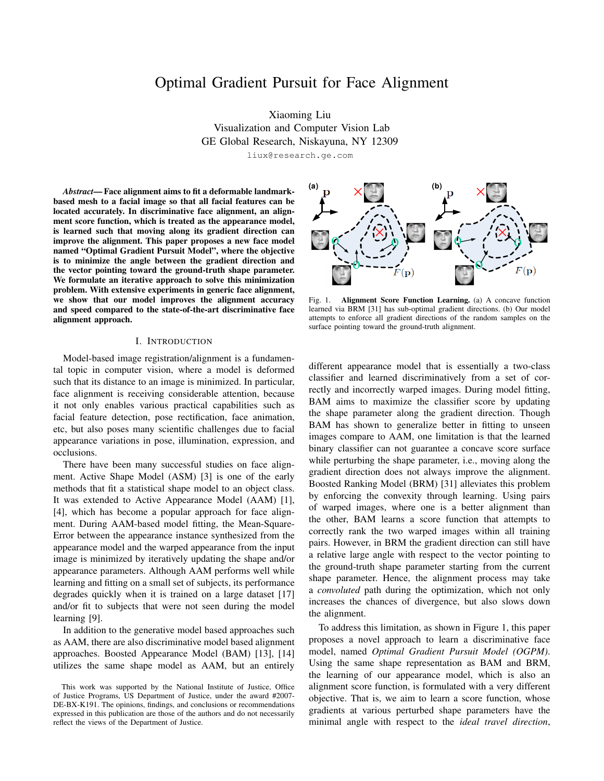# Optimal Gradient Pursuit for Face Alignment

Xiaoming Liu Visualization and Computer Vision Lab GE Global Research, Niskayuna, NY 12309

liux@research.ge.com

*Abstract*— Face alignment aims to fit a deformable landmarkbased mesh to a facial image so that all facial features can be located accurately. In discriminative face alignment, an alignment score function, which is treated as the appearance model, is learned such that moving along its gradient direction can improve the alignment. This paper proposes a new face model named "Optimal Gradient Pursuit Model", where the objective is to minimize the angle between the gradient direction and the vector pointing toward the ground-truth shape parameter. We formulate an iterative approach to solve this minimization problem. With extensive experiments in generic face alignment, we show that our model improves the alignment accuracy and speed compared to the state-of-the-art discriminative face alignment approach.

#### I. INTRODUCTION

Model-based image registration/alignment is a fundamental topic in computer vision, where a model is deformed such that its distance to an image is minimized. In particular, face alignment is receiving considerable attention, because it not only enables various practical capabilities such as facial feature detection, pose rectification, face animation, etc, but also poses many scientific challenges due to facial appearance variations in pose, illumination, expression, and occlusions.

There have been many successful studies on face alignment. Active Shape Model (ASM) [3] is one of the early methods that fit a statistical shape model to an object class. It was extended to Active Appearance Model (AAM) [1], [4], which has become a popular approach for face alignment. During AAM-based model fitting, the Mean-Square-Error between the appearance instance synthesized from the appearance model and the warped appearance from the input image is minimized by iteratively updating the shape and/or appearance parameters. Although AAM performs well while learning and fitting on a small set of subjects, its performance degrades quickly when it is trained on a large dataset [17] and/or fit to subjects that were not seen during the model learning [9].

In addition to the generative model based approaches such as AAM, there are also discriminative model based alignment approaches. Boosted Appearance Model (BAM) [13], [14] utilizes the same shape model as AAM, but an entirely



Fig. 1. Alignment Score Function Learning. (a) A concave function learned via BRM [31] has sub-optimal gradient directions. (b) Our model attempts to enforce all gradient directions of the random samples on the surface pointing toward the ground-truth alignment.

different appearance model that is essentially a two-class classifier and learned discriminatively from a set of correctly and incorrectly warped images. During model fitting, BAM aims to maximize the classifier score by updating the shape parameter along the gradient direction. Though BAM has shown to generalize better in fitting to unseen images compare to AAM, one limitation is that the learned binary classifier can not guarantee a concave score surface while perturbing the shape parameter, i.e., moving along the gradient direction does not always improve the alignment. Boosted Ranking Model (BRM) [31] alleviates this problem by enforcing the convexity through learning. Using pairs of warped images, where one is a better alignment than the other, BAM learns a score function that attempts to correctly rank the two warped images within all training pairs. However, in BRM the gradient direction can still have a relative large angle with respect to the vector pointing to the ground-truth shape parameter starting from the current shape parameter. Hence, the alignment process may take a *convoluted* path during the optimization, which not only increases the chances of divergence, but also slows down the alignment.

To address this limitation, as shown in Figure 1, this paper proposes a novel approach to learn a discriminative face model, named *Optimal Gradient Pursuit Model (OGPM)*. Using the same shape representation as BAM and BRM, the learning of our appearance model, which is also an alignment score function, is formulated with a very different objective. That is, we aim to learn a score function, whose gradients at various perturbed shape parameters have the minimal angle with respect to the *ideal travel direction*,

This work was supported by the National Institute of Justice, Office of Justice Programs, US Department of Justice, under the award #2007- DE-BX-K191. The opinions, findings, and conclusions or recommendations expressed in this publication are those of the authors and do not necessarily reflect the views of the Department of Justice.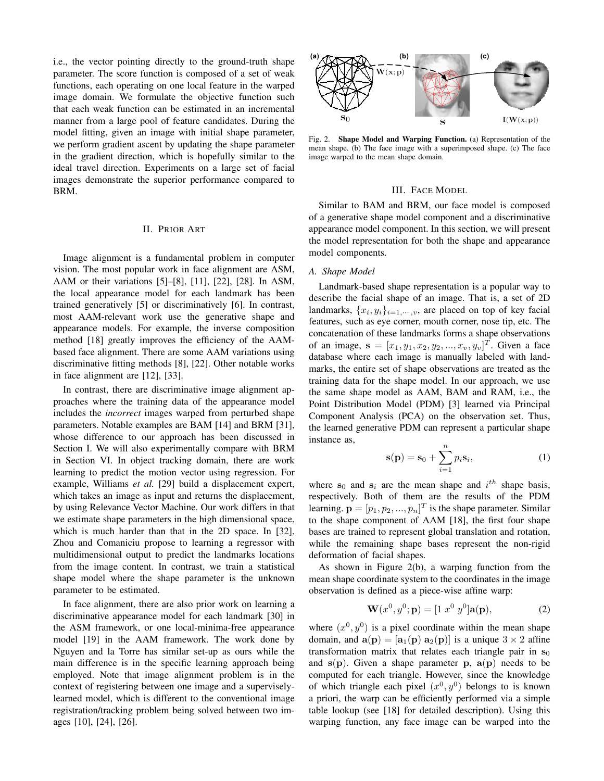i.e., the vector pointing directly to the ground-truth shape parameter. The score function is composed of a set of weak functions, each operating on one local feature in the warped image domain. We formulate the objective function such that each weak function can be estimated in an incremental manner from a large pool of feature candidates. During the model fitting, given an image with initial shape parameter, we perform gradient ascent by updating the shape parameter in the gradient direction, which is hopefully similar to the ideal travel direction. Experiments on a large set of facial images demonstrate the superior performance compared to BRM.

## II. PRIOR ART

Image alignment is a fundamental problem in computer vision. The most popular work in face alignment are ASM, AAM or their variations [5]–[8], [11], [22], [28]. In ASM, the local appearance model for each landmark has been trained generatively [5] or discriminatively [6]. In contrast, most AAM-relevant work use the generative shape and appearance models. For example, the inverse composition method [18] greatly improves the efficiency of the AAMbased face alignment. There are some AAM variations using discriminative fitting methods [8], [22]. Other notable works in face alignment are [12], [33].

In contrast, there are discriminative image alignment approaches where the training data of the appearance model includes the *incorrect* images warped from perturbed shape parameters. Notable examples are BAM [14] and BRM [31], whose difference to our approach has been discussed in Section I. We will also experimentally compare with BRM in Section VI. In object tracking domain, there are work learning to predict the motion vector using regression. For example, Williams *et al.* [29] build a displacement expert, which takes an image as input and returns the displacement, by using Relevance Vector Machine. Our work differs in that we estimate shape parameters in the high dimensional space, which is much harder than that in the 2D space. In [32], Zhou and Comaniciu propose to learning a regressor with multidimensional output to predict the landmarks locations from the image content. In contrast, we train a statistical shape model where the shape parameter is the unknown parameter to be estimated.

In face alignment, there are also prior work on learning a discriminative appearance model for each landmark [30] in the ASM framework, or one local-minima-free appearance model [19] in the AAM framework. The work done by Nguyen and la Torre has similar set-up as ours while the main difference is in the specific learning approach being employed. Note that image alignment problem is in the context of registering between one image and a superviselylearned model, which is different to the conventional image registration/tracking problem being solved between two images [10], [24], [26].



Fig. 2. Shape Model and Warping Function. (a) Representation of the mean shape. (b) The face image with a superimposed shape. (c) The face image warped to the mean shape domain.

#### III. FACE MODEL

Similar to BAM and BRM, our face model is composed of a generative shape model component and a discriminative appearance model component. In this section, we will present the model representation for both the shape and appearance model components.

## *A. Shape Model*

Landmark-based shape representation is a popular way to describe the facial shape of an image. That is, a set of 2D landmarks,  $\{x_i, y_i\}_{i=1,\dots,v}$ , are placed on top of key facial features, such as eye corner, mouth corner, nose tip, etc. The concatenation of these landmarks forms a shape observations of an image,  $\mathbf{s} = [x_1, y_1, x_2, y_2, ..., x_v, y_v]^T$ . Given a face database where each image is manually labeled with landmarks, the entire set of shape observations are treated as the training data for the shape model. In our approach, we use the same shape model as AAM, BAM and RAM, i.e., the Point Distribution Model (PDM) [3] learned via Principal Component Analysis (PCA) on the observation set. Thus, the learned generative PDM can represent a particular shape instance as,

$$
\mathbf{s}(\mathbf{p}) = \mathbf{s}_0 + \sum_{i=1}^{n} p_i \mathbf{s}_i,\tag{1}
$$

where  $s_0$  and  $s_i$  are the mean shape and  $i^{th}$  shape basis, respectively. Both of them are the results of the PDM learning.  $\mathbf{p} = [p_1, p_2, ..., p_n]^T$  is the shape parameter. Similar to the shape component of AAM [18], the first four shape bases are trained to represent global translation and rotation, while the remaining shape bases represent the non-rigid deformation of facial shapes.

As shown in Figure 2(b), a warping function from the mean shape coordinate system to the coordinates in the image observation is defined as a piece-wise affine warp:

$$
\mathbf{W}(x^0, y^0; \mathbf{p}) = \begin{bmatrix} 1 & x^0 & y^0 \end{bmatrix} \mathbf{a}(\mathbf{p}), \tag{2}
$$

where  $(x^0, y^0)$  is a pixel coordinate within the mean shape domain, and  $\mathbf{a}(\mathbf{p}) = [\mathbf{a}_1(\mathbf{p}) \ \mathbf{a}_2(\mathbf{p})]$  is a unique  $3 \times 2$  affine transformation matrix that relates each triangle pair in  $s_0$ and  $s(p)$ . Given a shape parameter p,  $a(p)$  needs to be computed for each triangle. However, since the knowledge of which triangle each pixel  $(x^0, y^0)$  belongs to is known a priori, the warp can be efficiently performed via a simple table lookup (see [18] for detailed description). Using this warping function, any face image can be warped into the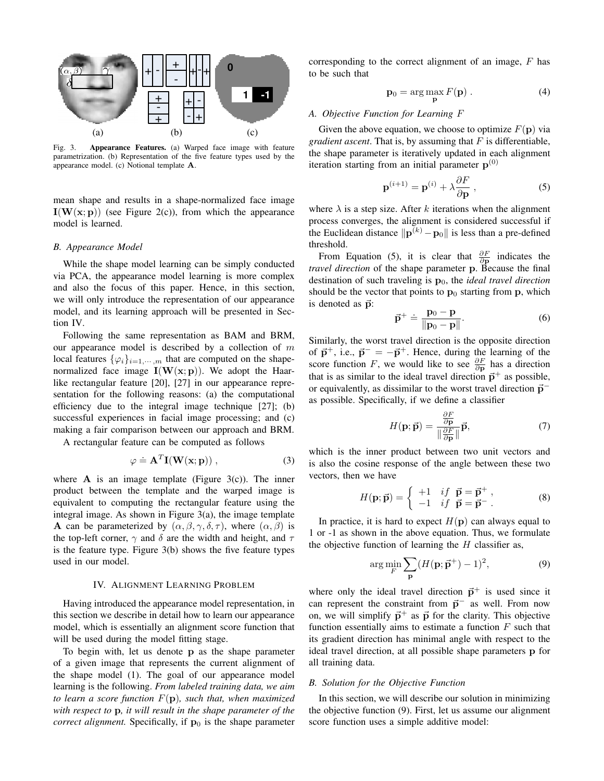

Fig. 3. Appearance Features. (a) Warped face image with feature parametrization. (b) Representation of the five feature types used by the appearance model. (c) Notional template A.

mean shape and results in a shape-normalized face image  $I(W(x; p))$  (see Figure 2(c)), from which the appearance model is learned.

## *B. Appearance Model*

While the shape model learning can be simply conducted via PCA, the appearance model learning is more complex and also the focus of this paper. Hence, in this section, we will only introduce the representation of our appearance model, and its learning approach will be presented in Section IV.

Following the same representation as BAM and BRM, our appearance model is described by a collection of  $m$ local features  $\{\varphi_i\}_{i=1,\dots,m}$  that are computed on the shapenormalized face image  $I(W(x; p))$ . We adopt the Haarlike rectangular feature [20], [27] in our appearance representation for the following reasons: (a) the computational efficiency due to the integral image technique [27]; (b) successful experiences in facial image processing; and (c) making a fair comparison between our approach and BRM.

A rectangular feature can be computed as follows

$$
\varphi \doteq \mathbf{A}^T \mathbf{I}(\mathbf{W}(\mathbf{x}; \mathbf{p})), \tag{3}
$$

where  $\bf{A}$  is an image template (Figure 3(c)). The inner product between the template and the warped image is equivalent to computing the rectangular feature using the integral image. As shown in Figure 3(a), the image template **A** can be parameterized by  $(\alpha, \beta, \gamma, \delta, \tau)$ , where  $(\alpha, \beta)$  is the top-left corner,  $\gamma$  and  $\delta$  are the width and height, and  $\tau$ is the feature type. Figure 3(b) shows the five feature types used in our model.

## IV. ALIGNMENT LEARNING PROBLEM

Having introduced the appearance model representation, in this section we describe in detail how to learn our appearance model, which is essentially an alignment score function that will be used during the model fitting stage.

To begin with, let us denote p as the shape parameter of a given image that represents the current alignment of the shape model (1). The goal of our appearance model learning is the following. *From labeled training data, we aim to learn a score function* F(p)*, such that, when maximized with respect to* p*, it will result in the shape parameter of the correct alignment.* Specifically, if  $\mathbf{p}_0$  is the shape parameter

corresponding to the correct alignment of an image,  $F$  has to be such that

$$
\mathbf{p}_0 = \arg\max_{\mathbf{p}} F(\mathbf{p}) . \tag{4}
$$

#### *A. Objective Function for Learning* F

Given the above equation, we choose to optimize  $F(\mathbf{p})$  via *gradient ascent*. That is, by assuming that  $F$  is differentiable, the shape parameter is iteratively updated in each alignment iteration starting from an initial parameter  $p^{(0)}$ 

$$
\mathbf{p}^{(i+1)} = \mathbf{p}^{(i)} + \lambda \frac{\partial F}{\partial \mathbf{p}},
$$
 (5)

where  $\lambda$  is a step size. After k iterations when the alignment process converges, the alignment is considered successful if the Euclidean distance  $\|\mathbf{p}^{(k)} - \mathbf{p}_0\|$  is less than a pre-defined threshold.

From Equation (5), it is clear that  $\frac{\partial F}{\partial \mathbf{p}}$  indicates the *travel direction* of the shape parameter p. Because the final destination of such traveling is  $p_0$ , the *ideal travel direction* should be the vector that points to  $\mathbf{p}_0$  starting from  $\mathbf{p}$ , which is denoted as  $\vec{p}$ :

$$
\vec{\mathbf{p}}^+ \doteq \frac{\mathbf{p}_0 - \mathbf{p}}{\|\mathbf{p}_0 - \mathbf{p}\|}.
$$
 (6)

Similarly, the worst travel direction is the opposite direction of  $\vec{p}^+$ , i.e.,  $\vec{p}^- = -\vec{p}^+$ . Hence, during the learning of the score function F, we would like to see  $\frac{\partial F}{\partial p}$  has a direction that is as similar to the ideal travel direction  $\vec{p}^+$  as possible, or equivalently, as dissimilar to the worst travel direction  $\vec{p}^$ as possible. Specifically, if we define a classifier

$$
H(\mathbf{p}; \vec{\mathbf{p}}) = \frac{\frac{\partial F}{\partial \mathbf{p}}}{\|\frac{\partial F}{\partial \mathbf{p}}\|} \vec{\mathbf{p}},\tag{7}
$$

which is the inner product between two unit vectors and is also the cosine response of the angle between these two vectors, then we have

$$
H(\mathbf{p}; \vec{\mathbf{p}}) = \begin{cases} +1 & \text{if } \vec{\mathbf{p}} = \vec{\mathbf{p}}^+ ,\\ -1 & \text{if } \vec{\mathbf{p}} = \vec{\mathbf{p}}^- . \end{cases}
$$
 (8)

In practice, it is hard to expect  $H(\mathbf{p})$  can always equal to 1 or -1 as shown in the above equation. Thus, we formulate the objective function of learning the  $H$  classifier as,

$$
\arg\min_{F} \sum_{\mathbf{p}} (H(\mathbf{p}; \vec{\mathbf{p}}^{+}) - 1)^{2}, \tag{9}
$$

where only the ideal travel direction  $\vec{p}^+$  is used since it can represent the constraint from  $\vec{p}^-$  as well. From now on, we will simplify  $\vec{p}^+$  as  $\vec{p}$  for the clarity. This objective function essentially aims to estimate a function  $F$  such that its gradient direction has minimal angle with respect to the ideal travel direction, at all possible shape parameters p for all training data.

#### *B. Solution for the Objective Function*

In this section, we will describe our solution in minimizing the objective function (9). First, let us assume our alignment score function uses a simple additive model: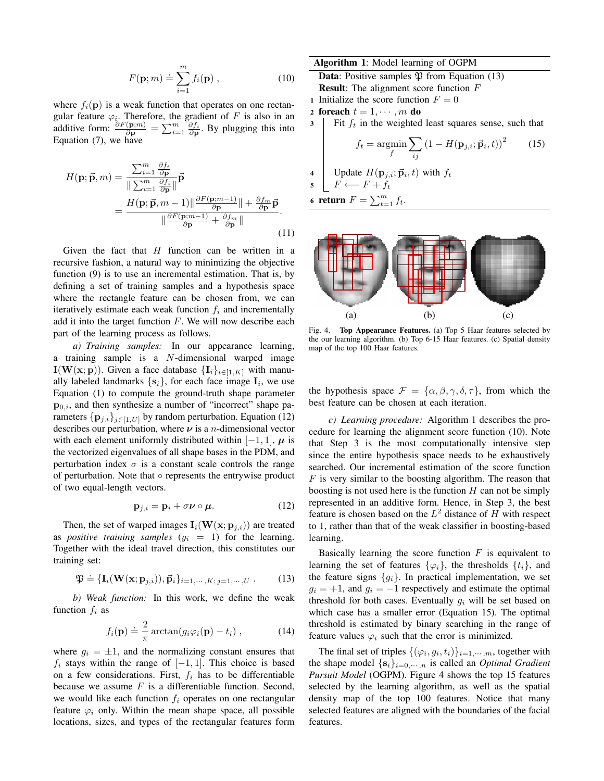$$
F(\mathbf{p};m) \doteq \sum_{i=1}^{m} f_i(\mathbf{p}), \qquad (10)
$$

where  $f_i(\mathbf{p})$  is a weak function that operates on one rectangular feature  $\varphi_i$ . Therefore, the gradient of F is also in an additive form:  $\frac{\partial F(\mathbf{p};m)}{\partial \mathbf{p}} = \sum_{i=1}^{m} \frac{\partial f_i}{\partial \mathbf{p}}$ . By plugging this into Equation (7), we have

$$
H(\mathbf{p}; \vec{\mathbf{p}}, m) = \frac{\sum_{i=1}^{m} \frac{\partial f_i}{\partial \mathbf{p}}}{\|\sum_{i=1}^{m} \frac{\partial f_i}{\partial \mathbf{p}}\|} \vec{\mathbf{p}} = \frac{H(\mathbf{p}; \vec{\mathbf{p}}, m - 1) \|\frac{\partial F(\mathbf{p}; m - 1)}{\partial \mathbf{p}}\| + \frac{\partial f_m}{\partial \mathbf{p}} \vec{\mathbf{p}}}{\|\frac{\partial F(\mathbf{p}; m - 1)}{\partial \mathbf{p}} + \frac{\partial f_m}{\partial \mathbf{p}}\|}.
$$
(11)

Given the fact that  $H$  function can be written in a recursive fashion, a natural way to minimizing the objective function (9) is to use an incremental estimation. That is, by defining a set of training samples and a hypothesis space where the rectangle feature can be chosen from, we can iteratively estimate each weak function  $f_i$  and incrementally add it into the target function  $F$ . We will now describe each part of the learning process as follows.

*a) Training samples:* In our appearance learning, a training sample is a N-dimensional warped image I(W(x; p)). Given a face database  $\{I_i\}_{i\in[1,K]}$  with manually labeled landmarks  $\{s_i\}$ , for each face image  $I_i$ , we use Equation (1) to compute the ground-truth shape parameter  $\mathbf{p}_{0,i}$ , and then synthesize a number of "incorrect" shape parameters  $\{p_{j,i}\}_{j\in[1,U]}$  by random perturbation. Equation (12) describes our perturbation, where  $\nu$  is a *n*-dimensional vector with each element uniformly distributed within  $[-1, 1]$ ,  $\mu$  is the vectorized eigenvalues of all shape bases in the PDM, and perturbation index  $\sigma$  is a constant scale controls the range of perturbation. Note that ◦ represents the entrywise product of two equal-length vectors.

$$
\mathbf{p}_{j,i} = \mathbf{p}_i + \sigma \nu \circ \mu. \tag{12}
$$

Then, the set of warped images  $\mathbf{I}_i(\mathbf{W}(\mathbf{x};\mathbf{p}_{j,i}))$  are treated as *positive training samples*  $(y_i = 1)$  for the learning. Together with the ideal travel direction, this constitutes our training set:

$$
\mathfrak{P} \doteq \{ \mathbf{I}_i(\mathbf{W}(\mathbf{x}; \mathbf{p}_{j,i})), \vec{\mathbf{p}}_i \}_{i=1,\cdots,K; j=1,\cdots,U} . \tag{13}
$$

*b) Weak function:* In this work, we define the weak function  $f_i$  as

$$
f_i(\mathbf{p}) \doteq \frac{2}{\pi} \arctan(g_i \varphi_i(\mathbf{p}) - t_i) , \qquad (14)
$$

where  $g_i = \pm 1$ , and the normalizing constant ensures that  $f_i$  stays within the range of  $[-1, 1]$ . This choice is based on a few considerations. First,  $f_i$  has to be differentiable because we assume  $F$  is a differentiable function. Second, we would like each function  $f_i$  operates on one rectangular feature  $\varphi_i$  only. Within the mean shape space, all possible locations, sizes, and types of the rectangular features form

## Algorithm 1: Model learning of OGPM

- **Data:** Positive samples  $\mathfrak{P}$  from Equation (13) Result: The alignment score function F
- 1 Initialize the score function  $F = 0$
- 2 foreach  $t = 1, \dots, m$  do

 $3$  Fit  $f_t$  in the weighted least squares sense, such that

$$
f_t = \operatorname*{argmin}_{f} \sum_{ij} \left( 1 - H(\mathbf{p}_{j,i}; \vec{\mathbf{p}}_i, t) \right)^2 \tag{15}
$$

4 | Update  $H(\mathbf{p}_{j,i}; \vec{\mathbf{p}}_i, t)$  with  $f_t$  $F \longleftarrow F + f_t$ 6 return  $F = \sum_{t=1}^{m} f_t$ .



Fig. 4. Top Appearance Features. (a) Top 5 Haar features selected by the our learning algorithm. (b) Top 6-15 Haar features. (c) Spatial density map of the top 100 Haar features.

the hypothesis space  $\mathcal{F} = {\alpha, \beta, \gamma, \delta, \tau}$ , from which the best feature can be chosen at each iteration.

*c) Learning procedure:* Algorithm 1 describes the procedure for learning the alignment score function (10). Note that Step 3 is the most computationally intensive step since the entire hypothesis space needs to be exhaustively searched. Our incremental estimation of the score function  $F$  is very similar to the boosting algorithm. The reason that boosting is not used here is the function  $H$  can not be simply represented in an additive form. Hence, in Step 3, the best feature is chosen based on the  $L^2$  distance of H with respect to 1, rather than that of the weak classifier in boosting-based learning.

Basically learning the score function  $F$  is equivalent to learning the set of features  $\{\varphi_i\}$ , the thresholds  $\{t_i\}$ , and the feature signs  ${g_i}$ . In practical implementation, we set  $g_i = +1$ , and  $g_i = -1$  respectively and estimate the optimal threshold for both cases. Eventually  $g_i$  will be set based on which case has a smaller error (Equation 15). The optimal threshold is estimated by binary searching in the range of feature values  $\varphi_i$  such that the error is minimized.

The final set of triples  $\{(\varphi_i, g_i, t_i)\}_{i=1,\dots,m}$ , together with the shape model  $\{s_i\}_{i=0,\dots,n}$  is called an *Optimal Gradient Pursuit Model* (OGPM). Figure 4 shows the top 15 features selected by the learning algorithm, as well as the spatial density map of the top 100 features. Notice that many selected features are aligned with the boundaries of the facial features.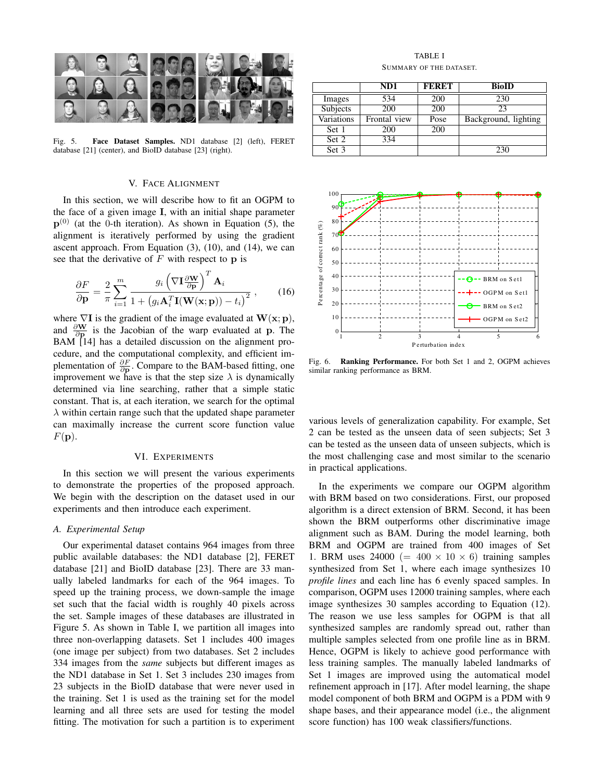

Fig. 5. Face Dataset Samples. ND1 database [2] (left), FERET database [21] (center), and BioID database [23] (right).

## V. FACE ALIGNMENT

In this section, we will describe how to fit an OGPM to the face of a given image I, with an initial shape parameter  $p^{(0)}$  (at the 0-th iteration). As shown in Equation (5), the alignment is iteratively performed by using the gradient ascent approach. From Equation (3), (10), and (14), we can see that the derivative of  $F$  with respect to  $p$  is

$$
\frac{\partial F}{\partial \mathbf{p}} = \frac{2}{\pi} \sum_{i=1}^{m} \frac{g_i \left(\nabla \mathbf{I} \frac{\partial \mathbf{W}}{\partial \mathbf{p}}\right)^T \mathbf{A}_i}{1 + \left(g_i \mathbf{A}_i^T \mathbf{I}(\mathbf{W}(\mathbf{x}; \mathbf{p})) - t_i\right)^2},
$$
(16)

where  $\nabla I$  is the gradient of the image evaluated at  $W(x; p)$ , and  $\frac{\partial \mathbf{W}}{\partial \mathbf{p}}$  is the Jacobian of the warp evaluated at p. The BAM [14] has a detailed discussion on the alignment procedure, and the computational complexity, and efficient implementation of  $\frac{\partial F}{\partial \mathbf{p}}$ . Compare to the BAM-based fitting, one improvement we have is that the step size  $\lambda$  is dynamically determined via line searching, rather that a simple static constant. That is, at each iteration, we search for the optimal  $\lambda$  within certain range such that the updated shape parameter can maximally increase the current score function value  $F(\mathbf{p}).$ 

#### VI. EXPERIMENTS

In this section we will present the various experiments to demonstrate the properties of the proposed approach. We begin with the description on the dataset used in our experiments and then introduce each experiment.

#### *A. Experimental Setup*

Our experimental dataset contains 964 images from three public available databases: the ND1 database [2], FERET database [21] and BioID database [23]. There are 33 manually labeled landmarks for each of the 964 images. To speed up the training process, we down-sample the image set such that the facial width is roughly 40 pixels across the set. Sample images of these databases are illustrated in Figure 5. As shown in Table I, we partition all images into three non-overlapping datasets. Set 1 includes 400 images (one image per subject) from two databases. Set 2 includes 334 images from the *same* subjects but different images as the ND1 database in Set 1. Set 3 includes 230 images from 23 subjects in the BioID database that were never used in the training. Set 1 is used as the training set for the model learning and all three sets are used for testing the model fitting. The motivation for such a partition is to experiment

TABLE I SUMMARY OF THE DATASET.

|            | ND1          | <b>FERET</b> | <b>BioID</b>         |
|------------|--------------|--------------|----------------------|
| Images     | 534          | 200          | 230                  |
| Subjects   | 200          | 200          | 23                   |
| Variations | Frontal view | Pose         | Background, lighting |
| Set 1      | 200          | 200          |                      |
| Set 2      | 334          |              |                      |
| Set 3      |              |              | 230                  |



Fig. 6. Ranking Performance. For both Set 1 and 2, OGPM achieves similar ranking performance as BRM.

various levels of generalization capability. For example, Set 2 can be tested as the unseen data of seen subjects; Set 3 can be tested as the unseen data of unseen subjects, which is the most challenging case and most similar to the scenario in practical applications.

In the experiments we compare our OGPM algorithm with BRM based on two considerations. First, our proposed algorithm is a direct extension of BRM. Second, it has been shown the BRM outperforms other discriminative image alignment such as BAM. During the model learning, both BRM and OGPM are trained from 400 images of Set 1. BRM uses 24000 (=  $400 \times 10 \times 6$ ) training samples synthesized from Set 1, where each image synthesizes 10 *profile lines* and each line has 6 evenly spaced samples. In comparison, OGPM uses 12000 training samples, where each image synthesizes 30 samples according to Equation (12). The reason we use less samples for OGPM is that all synthesized samples are randomly spread out, rather than multiple samples selected from one profile line as in BRM. Hence, OGPM is likely to achieve good performance with less training samples. The manually labeled landmarks of Set 1 images are improved using the automatical model refinement approach in [17]. After model learning, the shape model component of both BRM and OGPM is a PDM with 9 shape bases, and their appearance model (i.e., the alignment score function) has 100 weak classifiers/functions.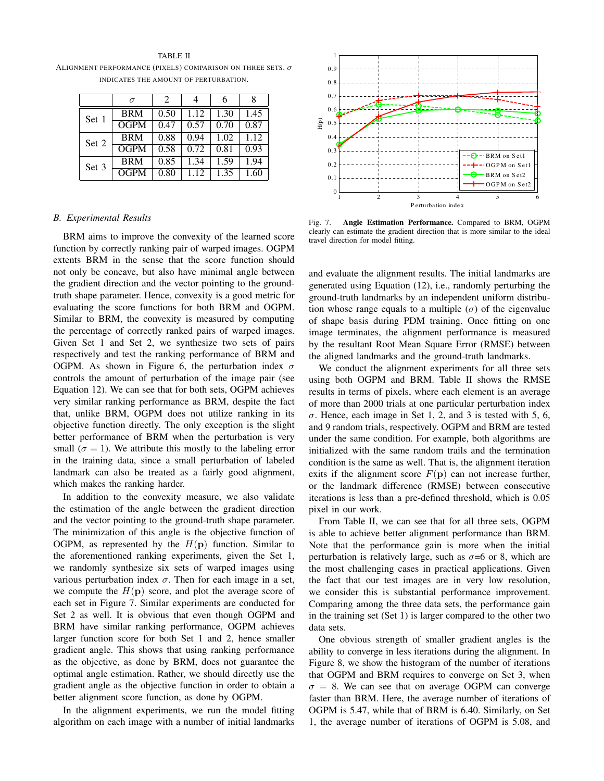#### TABLE II

ALIGNMENT PERFORMANCE (PIXELS) COMPARISON ON THREE SETS.  $\sigma$ INDICATES THE AMOUNT OF PERTURBATION.

|       | $\sigma$    | $\mathcal{D}_{\mathcal{L}}$ |      | 6    |      |
|-------|-------------|-----------------------------|------|------|------|
| Set 1 | <b>BRM</b>  | 0.50                        | 1.12 | 1.30 | 1.45 |
|       | <b>OGPM</b> | 0.47                        | 0.57 | 0.70 | 0.87 |
| Set 2 | <b>BRM</b>  | 0.88                        | 0.94 | 1.02 | 1.12 |
|       | <b>OGPM</b> | 0.58                        | 0.72 | 0.81 | 0.93 |
| Set 3 | <b>BRM</b>  | 0.85                        | 1.34 | 1.59 | 1.94 |
|       | <b>OGPM</b> | 0.80                        | 1.12 | 1.35 | 1.60 |

#### *B. Experimental Results*

BRM aims to improve the convexity of the learned score function by correctly ranking pair of warped images. OGPM extents BRM in the sense that the score function should not only be concave, but also have minimal angle between the gradient direction and the vector pointing to the groundtruth shape parameter. Hence, convexity is a good metric for evaluating the score functions for both BRM and OGPM. Similar to BRM, the convexity is measured by computing the percentage of correctly ranked pairs of warped images. Given Set 1 and Set 2, we synthesize two sets of pairs respectively and test the ranking performance of BRM and OGPM. As shown in Figure 6, the perturbation index  $\sigma$ controls the amount of perturbation of the image pair (see Equation 12). We can see that for both sets, OGPM achieves very similar ranking performance as BRM, despite the fact that, unlike BRM, OGPM does not utilize ranking in its objective function directly. The only exception is the slight better performance of BRM when the perturbation is very small ( $\sigma = 1$ ). We attribute this mostly to the labeling error in the training data, since a small perturbation of labeled landmark can also be treated as a fairly good alignment, which makes the ranking harder.

In addition to the convexity measure, we also validate the estimation of the angle between the gradient direction and the vector pointing to the ground-truth shape parameter. The minimization of this angle is the objective function of OGPM, as represented by the  $H(\mathbf{p})$  function. Similar to the aforementioned ranking experiments, given the Set 1, we randomly synthesize six sets of warped images using various perturbation index  $\sigma$ . Then for each image in a set, we compute the  $H(p)$  score, and plot the average score of each set in Figure 7. Similar experiments are conducted for Set 2 as well. It is obvious that even though OGPM and BRM have similar ranking performance, OGPM achieves larger function score for both Set 1 and 2, hence smaller gradient angle. This shows that using ranking performance as the objective, as done by BRM, does not guarantee the optimal angle estimation. Rather, we should directly use the gradient angle as the objective function in order to obtain a better alignment score function, as done by OGPM.

In the alignment experiments, we run the model fitting algorithm on each image with a number of initial landmarks



Fig. 7. Angle Estimation Performance. Compared to BRM, OGPM clearly can estimate the gradient direction that is more similar to the ideal travel direction for model fitting.

and evaluate the alignment results. The initial landmarks are generated using Equation (12), i.e., randomly perturbing the ground-truth landmarks by an independent uniform distribution whose range equals to a multiple  $(\sigma)$  of the eigenvalue of shape basis during PDM training. Once fitting on one image terminates, the alignment performance is measured by the resultant Root Mean Square Error (RMSE) between the aligned landmarks and the ground-truth landmarks.

We conduct the alignment experiments for all three sets using both OGPM and BRM. Table II shows the RMSE results in terms of pixels, where each element is an average of more than 2000 trials at one particular perturbation index  $\sigma$ . Hence, each image in Set 1, 2, and 3 is tested with 5, 6, and 9 random trials, respectively. OGPM and BRM are tested under the same condition. For example, both algorithms are initialized with the same random trails and the termination condition is the same as well. That is, the alignment iteration exits if the alignment score  $F(\mathbf{p})$  can not increase further, or the landmark difference (RMSE) between consecutive iterations is less than a pre-defined threshold, which is 0.05 pixel in our work.

From Table II, we can see that for all three sets, OGPM is able to achieve better alignment performance than BRM. Note that the performance gain is more when the initial perturbation is relatively large, such as  $\sigma$ =6 or 8, which are the most challenging cases in practical applications. Given the fact that our test images are in very low resolution, we consider this is substantial performance improvement. Comparing among the three data sets, the performance gain in the training set (Set 1) is larger compared to the other two data sets.

One obvious strength of smaller gradient angles is the ability to converge in less iterations during the alignment. In Figure 8, we show the histogram of the number of iterations that OGPM and BRM requires to converge on Set 3, when  $\sigma = 8$ . We can see that on average OGPM can converge faster than BRM. Here, the average number of iterations of OGPM is 5.47, while that of BRM is 6.40. Similarly, on Set 1, the average number of iterations of OGPM is 5.08, and